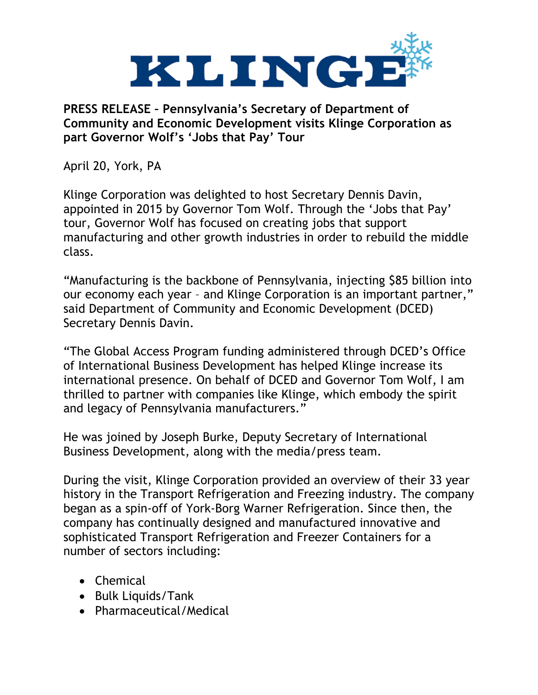

**PRESS RELEASE – Pennsylvania's Secretary of Department of Community and Economic Development visits Klinge Corporation as part Governor Wolf's 'Jobs that Pay' Tour**

April 20, York, PA

Klinge Corporation was delighted to host Secretary Dennis Davin, appointed in 2015 by Governor Tom Wolf. Through the 'Jobs that Pay' tour, Governor Wolf has focused on creating jobs that support manufacturing and other growth industries in order to rebuild the middle class.

"Manufacturing is the backbone of Pennsylvania, injecting \$85 billion into our economy each year – and Klinge Corporation is an important partner," said Department of Community and Economic Development (DCED) Secretary Dennis Davin.

"The Global Access Program funding administered through DCED's Office of International Business Development has helped Klinge increase its international presence. On behalf of DCED and Governor Tom Wolf, I am thrilled to partner with companies like Klinge, which embody the spirit and legacy of Pennsylvania manufacturers."

He was joined by Joseph Burke, Deputy Secretary of International Business Development, along with the media/press team.

During the visit, Klinge Corporation provided an overview of their 33 year history in the Transport Refrigeration and Freezing industry. The company began as a spin-off of York-Borg Warner Refrigeration. Since then, the company has continually designed and manufactured innovative and sophisticated Transport Refrigeration and Freezer Containers for a number of sectors including:

- Chemical
- Bulk Liquids/Tank
- Pharmaceutical/Medical